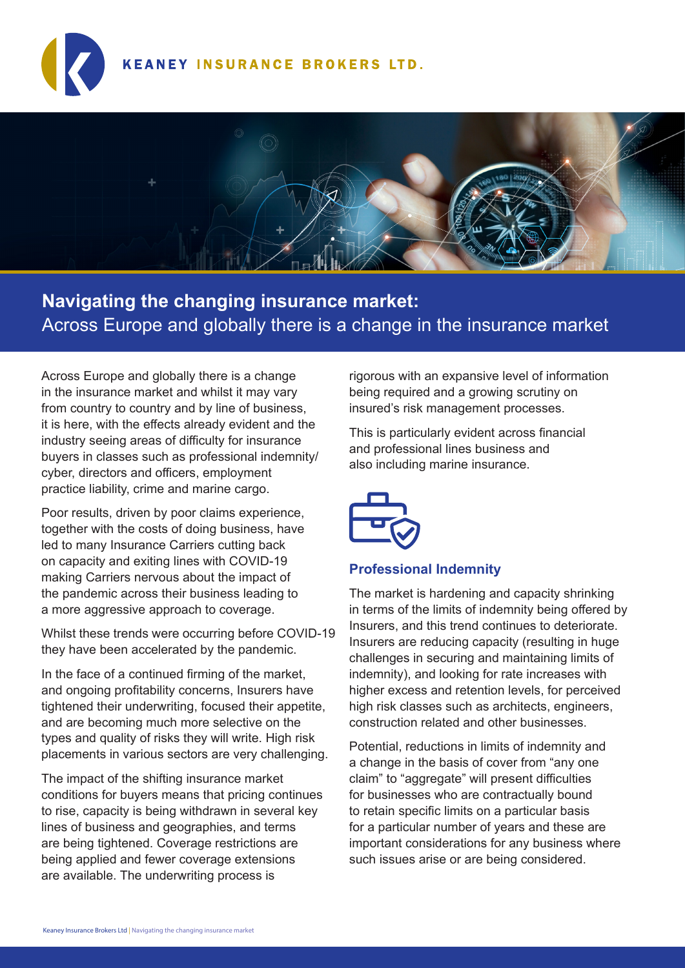## **KEANEY INSURANCE BROKERS LTD.**



# **Navigating the changing insurance market:** Across Europe and globally there is a change in the insurance market

Across Europe and globally there is a change in the insurance market and whilst it may vary from country to country and by line of business, it is here, with the effects already evident and the industry seeing areas of difficulty for insurance buyers in classes such as professional indemnity/ cyber, directors and officers, employment practice liability, crime and marine cargo.

Poor results, driven by poor claims experience, together with the costs of doing business, have led to many Insurance Carriers cutting back on capacity and exiting lines with COVID-19 making Carriers nervous about the impact of the pandemic across their business leading to a more aggressive approach to coverage.

Whilst these trends were occurring before COVID-19 they have been accelerated by the pandemic.

In the face of a continued firming of the market, and ongoing profitability concerns, Insurers have tightened their underwriting, focused their appetite, and are becoming much more selective on the types and quality of risks they will write. High risk placements in various sectors are very challenging.

The impact of the shifting insurance market conditions for buyers means that pricing continues to rise, capacity is being withdrawn in several key lines of business and geographies, and terms are being tightened. Coverage restrictions are being applied and fewer coverage extensions are available. The underwriting process is

rigorous with an expansive level of information being required and a growing scrutiny on insured's risk management processes.

This is particularly evident across financial and professional lines business and also including marine insurance.



## **Professional Indemnity**

The market is hardening and capacity shrinking in terms of the limits of indemnity being offered by Insurers, and this trend continues to deteriorate. Insurers are reducing capacity (resulting in huge challenges in securing and maintaining limits of indemnity), and looking for rate increases with higher excess and retention levels, for perceived high risk classes such as architects, engineers, construction related and other businesses.

Potential, reductions in limits of indemnity and a change in the basis of cover from "any one claim" to "aggregate" will present difficulties for businesses who are contractually bound to retain specific limits on a particular basis for a particular number of years and these are important considerations for any business where such issues arise or are being considered.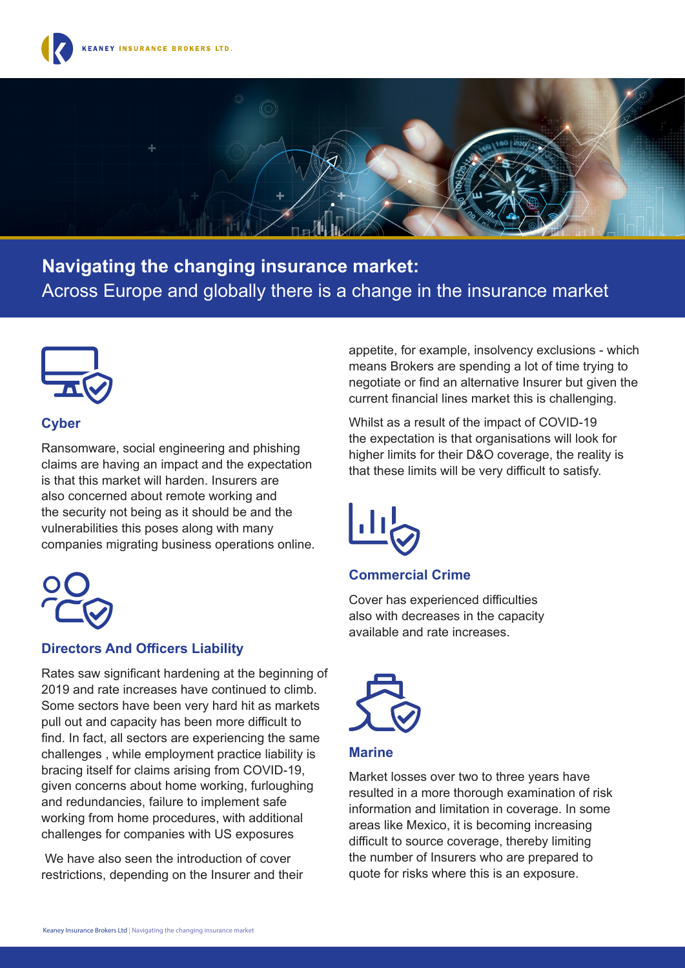



**Navigating the changing insurance market:** Across Europe and globally there is a change in the insurance market



## **Cyber**

Ransomware, social engineering and phishing claims are having an impact and the expectation is that this market will harden. Insurers are also concerned about remote working and the security not being as it should be and the vulnerabilities this poses along with many companies migrating business operations online.



## **Directors And Officers Liability**

Rates saw significant hardening at the beginning of 2019 and rate increases have continued to climb. Some sectors have been very hard hit as markets pull out and capacity has been more difficult to find. In fact, all sectors are experiencing the same challenges , while employment practice liability is bracing itself for claims arising from COVID-19, given concerns about home working, furloughing and redundancies, failure to implement safe working from home procedures, with additional challenges for companies with US exposures

 We have also seen the introduction of cover restrictions, depending on the Insurer and their

appetite, for example, insolvency exclusions - which means Brokers are spending a lot of time trying to negotiate or find an alternative Insurer but given the current financial lines market this is challenging.

Whilst as a result of the impact of COVID-19 the expectation is that organisations will look for higher limits for their D&O coverage, the reality is that these limits will be very difficult to satisfy.



## **Commercial Crime**

Cover has experienced difficulties also with decreases in the capacity available and rate increases.



#### **Marine**

Market losses over two to three years have resulted in a more thorough examination of risk information and limitation in coverage. In some areas like Mexico, it is becoming increasing difficult to source coverage, thereby limiting the number of Insurers who are prepared to quote for risks where this is an exposure.